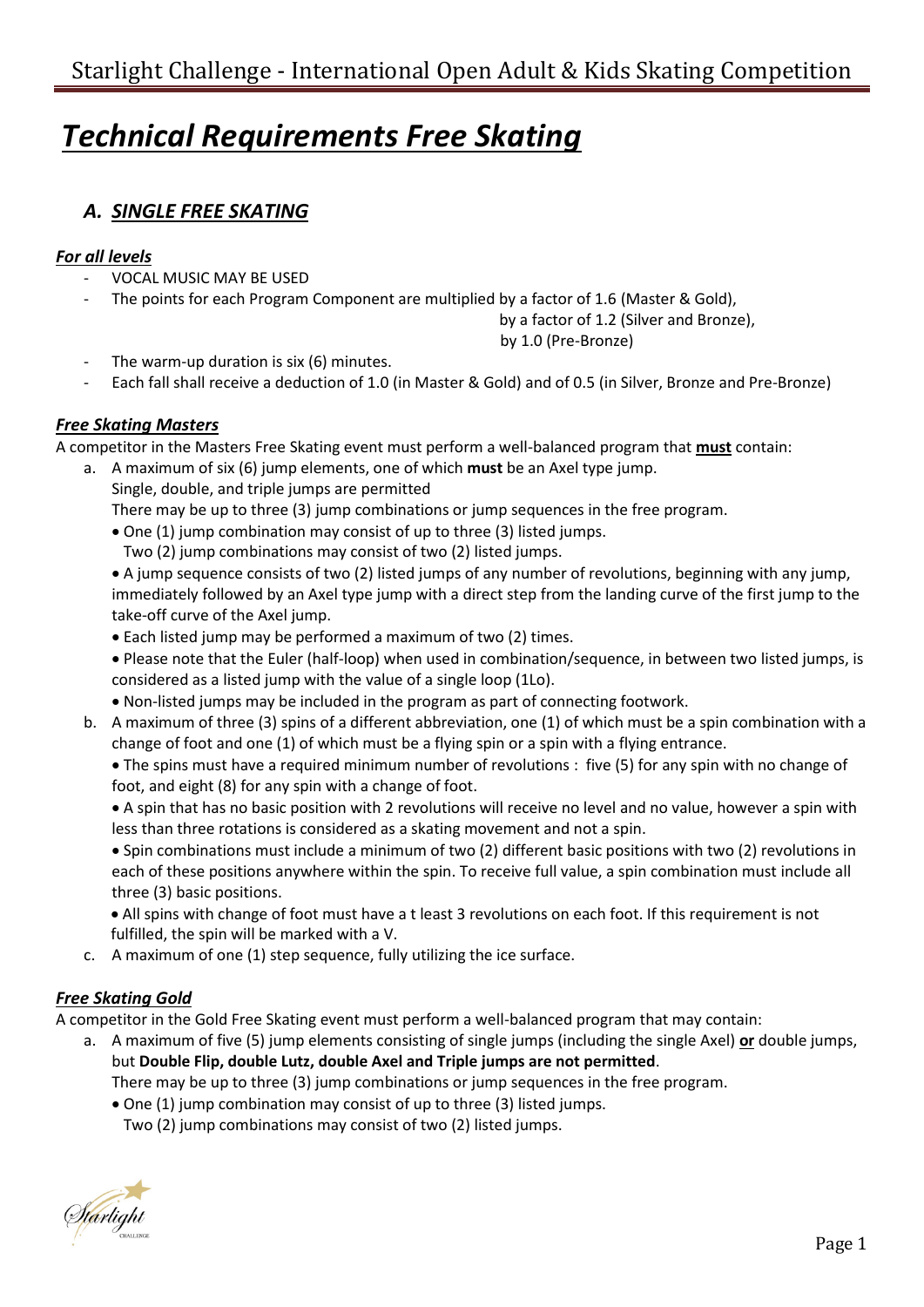# *Technical Requirements Free Skating*

# *A. SINGLE FREE SKATING*

### *For all levels*

- VOCAL MUSIC MAY BE USED
- The points for each Program Component are multiplied by a factor of 1.6 (Master & Gold),

by a factor of 1.2 (Silver and Bronze),

by 1.0 (Pre-Bronze)

- The warm-up duration is six (6) minutes.
- Each fall shall receive a deduction of 1.0 (in Master & Gold) and of 0.5 (in Silver, Bronze and Pre-Bronze)

## *Free Skating Masters*

A competitor in the Masters Free Skating event must perform a well-balanced program that **must** contain:

a. A maximum of six (6) jump elements, one of which **must** be an Axel type jump. Single, double, and triple jumps are permitted

There may be up to three (3) jump combinations or jump sequences in the free program.

- One (1) jump combination may consist of up to three (3) listed jumps.
	- Two (2) jump combinations may consist of two (2) listed jumps.

• A jump sequence consists of two (2) listed jumps of any number of revolutions, beginning with any jump, immediately followed by an Axel type jump with a direct step from the landing curve of the first jump to the take-off curve of the Axel jump.

- Each listed jump may be performed a maximum of two (2) times.
- Please note that the Euler (half-loop) when used in combination/sequence, in between two listed jumps, is considered as a listed jump with the value of a single loop (1Lo).
- Non-listed jumps may be included in the program as part of connecting footwork.
- b. A maximum of three (3) spins of a different abbreviation, one (1) of which must be a spin combination with a change of foot and one (1) of which must be a flying spin or a spin with a flying entrance.

• The spins must have a required minimum number of revolutions : five (5) for any spin with no change of foot, and eight (8) for any spin with a change of foot.

• A spin that has no basic position with 2 revolutions will receive no level and no value, however a spin with less than three rotations is considered as a skating movement and not a spin.

• Spin combinations must include a minimum of two (2) different basic positions with two (2) revolutions in each of these positions anywhere within the spin. To receive full value, a spin combination must include all three (3) basic positions.

• All spins with change of foot must have a t least 3 revolutions on each foot. If this requirement is not fulfilled, the spin will be marked with a V.

c. A maximum of one (1) step sequence, fully utilizing the ice surface.

## *Free Skating Gold*

A competitor in the Gold Free Skating event must perform a well-balanced program that may contain:

a. A maximum of five (5) jump elements consisting of single jumps (including the single Axel) **or** double jumps, but **Double Flip, double Lutz, double Axel and Triple jumps are not permitted**.

There may be up to three (3) jump combinations or jump sequences in the free program.

- One (1) jump combination may consist of up to three (3) listed jumps.
	- Two (2) jump combinations may consist of two (2) listed jumps.

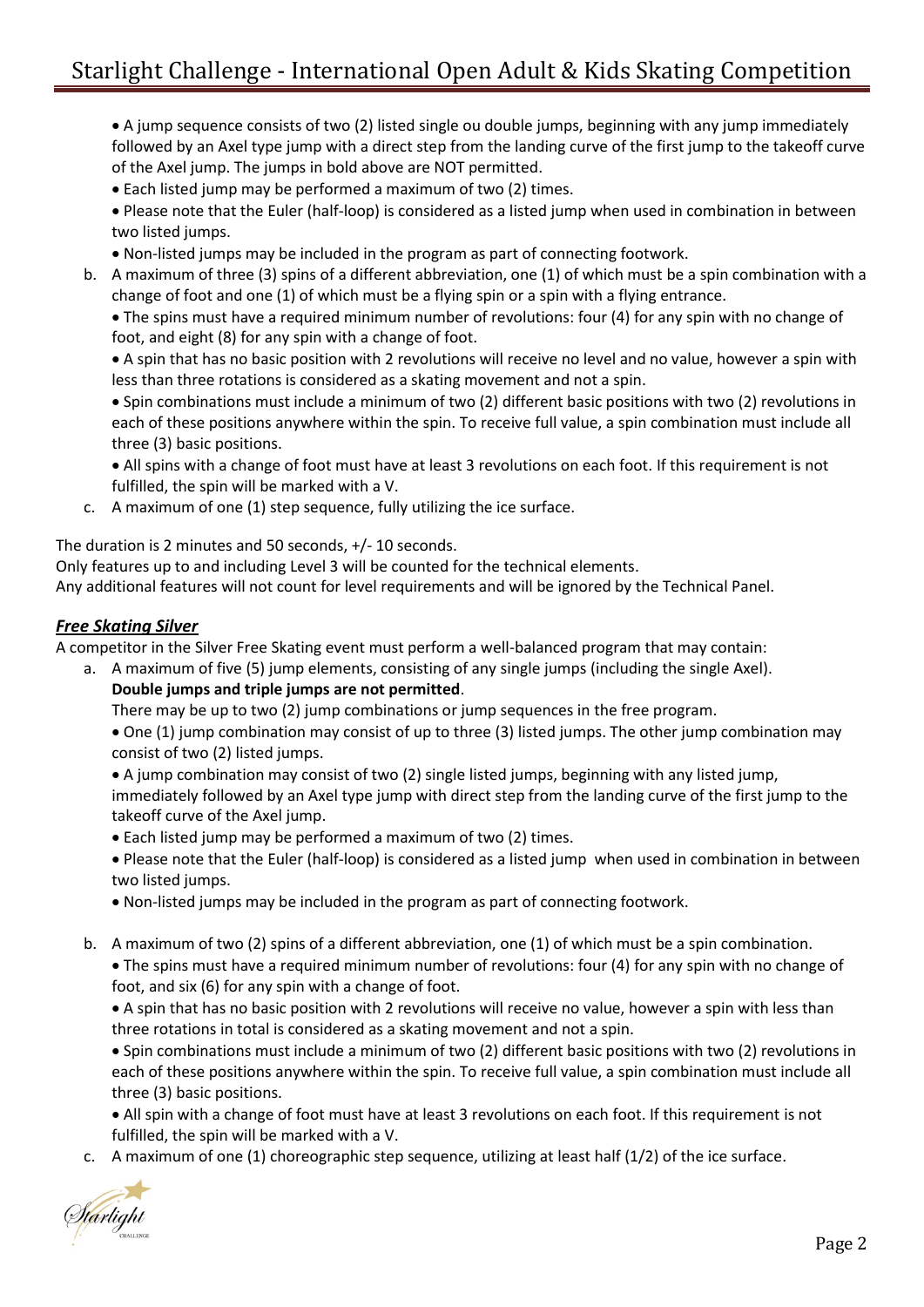• A jump sequence consists of two (2) listed single ou double jumps, beginning with any jump immediately followed by an Axel type jump with a direct step from the landing curve of the first jump to the takeoff curve of the Axel jump. The jumps in bold above are NOT permitted.

• Each listed jump may be performed a maximum of two (2) times.

• Please note that the Euler (half-loop) is considered as a listed jump when used in combination in between two listed jumps.

- Non-listed jumps may be included in the program as part of connecting footwork.
- b. A maximum of three (3) spins of a different abbreviation, one (1) of which must be a spin combination with a change of foot and one (1) of which must be a flying spin or a spin with a flying entrance.

• The spins must have a required minimum number of revolutions: four (4) for any spin with no change of foot, and eight (8) for any spin with a change of foot.

• A spin that has no basic position with 2 revolutions will receive no level and no value, however a spin with less than three rotations is considered as a skating movement and not a spin.

• Spin combinations must include a minimum of two (2) different basic positions with two (2) revolutions in each of these positions anywhere within the spin. To receive full value, a spin combination must include all three (3) basic positions.

• All spins with a change of foot must have at least 3 revolutions on each foot. If this requirement is not fulfilled, the spin will be marked with a V.

c. A maximum of one (1) step sequence, fully utilizing the ice surface.

The duration is 2 minutes and 50 seconds, +/- 10 seconds.

Only features up to and including Level 3 will be counted for the technical elements.

Any additional features will not count for level requirements and will be ignored by the Technical Panel.

#### *Free Skating Silver*

A competitor in the Silver Free Skating event must perform a well-balanced program that may contain:

- a. A maximum of five (5) jump elements, consisting of any single jumps (including the single Axel).
	- **Double jumps and triple jumps are not permitted**.

There may be up to two (2) jump combinations or jump sequences in the free program.

• One (1) jump combination may consist of up to three (3) listed jumps. The other jump combination may consist of two (2) listed jumps.

• A jump combination may consist of two (2) single listed jumps, beginning with any listed jump, immediately followed by an Axel type jump with direct step from the landing curve of the first jump to the takeoff curve of the Axel jump.

• Each listed jump may be performed a maximum of two (2) times.

• Please note that the Euler (half-loop) is considered as a listed jump when used in combination in between two listed jumps.

- Non-listed jumps may be included in the program as part of connecting footwork.
- b. A maximum of two (2) spins of a different abbreviation, one (1) of which must be a spin combination.

• The spins must have a required minimum number of revolutions: four (4) for any spin with no change of foot, and six (6) for any spin with a change of foot.

• A spin that has no basic position with 2 revolutions will receive no value, however a spin with less than three rotations in total is considered as a skating movement and not a spin.

• Spin combinations must include a minimum of two (2) different basic positions with two (2) revolutions in each of these positions anywhere within the spin. To receive full value, a spin combination must include all three (3) basic positions.

• All spin with a change of foot must have at least 3 revolutions on each foot. If this requirement is not fulfilled, the spin will be marked with a V.

c. A maximum of one (1) choreographic step sequence, utilizing at least half (1/2) of the ice surface.

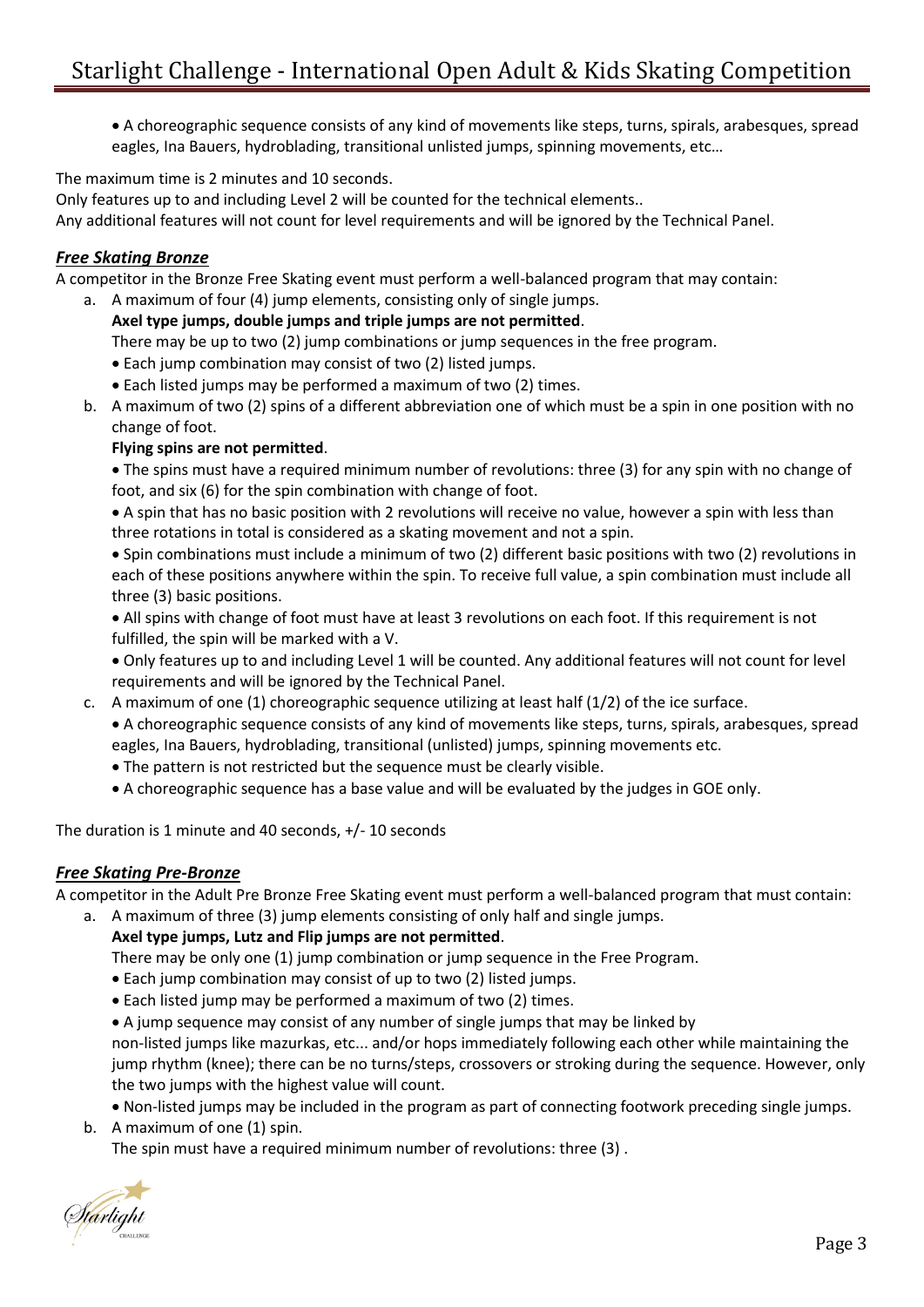• A choreographic sequence consists of any kind of movements like steps, turns, spirals, arabesques, spread eagles, Ina Bauers, hydroblading, transitional unlisted jumps, spinning movements, etc…

The maximum time is 2 minutes and 10 seconds.

Only features up to and including Level 2 will be counted for the technical elements..

Any additional features will not count for level requirements and will be ignored by the Technical Panel.

#### *Free Skating Bronze*

A competitor in the Bronze Free Skating event must perform a well-balanced program that may contain:

- a. A maximum of four (4) jump elements, consisting only of single jumps.
	- **Axel type jumps, double jumps and triple jumps are not permitted**. There may be up to two (2) jump combinations or jump sequences in the free program.
	- Each jump combination may consist of two (2) listed jumps.
	- Each listed jumps may be performed a maximum of two (2) times.
- b. A maximum of two (2) spins of a different abbreviation one of which must be a spin in one position with no change of foot.

#### **Flying spins are not permitted**.

- The spins must have a required minimum number of revolutions: three (3) for any spin with no change of foot, and six (6) for the spin combination with change of foot.
- A spin that has no basic position with 2 revolutions will receive no value, however a spin with less than three rotations in total is considered as a skating movement and not a spin.
- Spin combinations must include a minimum of two (2) different basic positions with two (2) revolutions in each of these positions anywhere within the spin. To receive full value, a spin combination must include all three (3) basic positions.
- All spins with change of foot must have at least 3 revolutions on each foot. If this requirement is not fulfilled, the spin will be marked with a V.
- Only features up to and including Level 1 will be counted. Any additional features will not count for level requirements and will be ignored by the Technical Panel.
- c. A maximum of one (1) choreographic sequence utilizing at least half (1/2) of the ice surface.
	- A choreographic sequence consists of any kind of movements like steps, turns, spirals, arabesques, spread eagles, Ina Bauers, hydroblading, transitional (unlisted) jumps, spinning movements etc.
	- The pattern is not restricted but the sequence must be clearly visible.
	- A choreographic sequence has a base value and will be evaluated by the judges in GOE only.

The duration is 1 minute and 40 seconds, +/- 10 seconds

#### *Free Skating Pre-Bronze*

A competitor in the Adult Pre Bronze Free Skating event must perform a well-balanced program that must contain:

a. A maximum of three (3) jump elements consisting of only half and single jumps.

#### **Axel type jumps, Lutz and Flip jumps are not permitted**.

There may be only one (1) jump combination or jump sequence in the Free Program.

- Each jump combination may consist of up to two (2) listed jumps.
- Each listed jump may be performed a maximum of two (2) times.
- A jump sequence may consist of any number of single jumps that may be linked by

non-listed jumps like mazurkas, etc... and/or hops immediately following each other while maintaining the jump rhythm (knee); there can be no turns/steps, crossovers or stroking during the sequence. However, only the two jumps with the highest value will count.

- Non-listed jumps may be included in the program as part of connecting footwork preceding single jumps.
- b. A maximum of one (1) spin.

The spin must have a required minimum number of revolutions: three (3) .

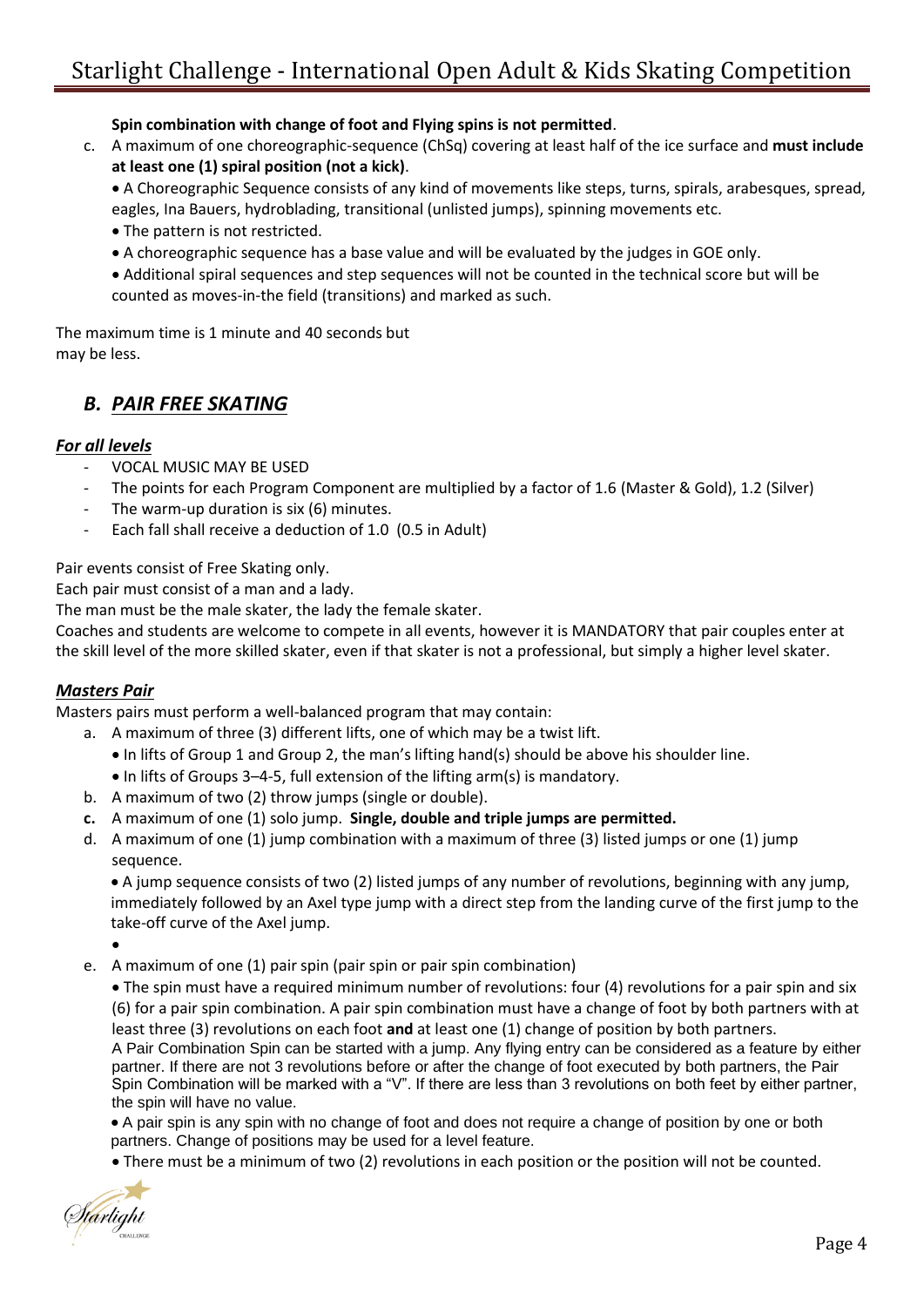**Spin combination with change of foot and Flying spins is not permitted**.

c. A maximum of one choreographic-sequence (ChSq) covering at least half of the ice surface and **must include at least one (1) spiral position (not a kick)**.

• A Choreographic Sequence consists of any kind of movements like steps, turns, spirals, arabesques, spread, eagles, Ina Bauers, hydroblading, transitional (unlisted jumps), spinning movements etc.

- The pattern is not restricted.
- A choreographic sequence has a base value and will be evaluated by the judges in GOE only.
- Additional spiral sequences and step sequences will not be counted in the technical score but will be counted as moves-in-the field (transitions) and marked as such.

The maximum time is 1 minute and 40 seconds but may be less.

## *B. PAIR FREE SKATING*

#### *For all levels*

- VOCAL MUSIC MAY BE USED
- The points for each Program Component are multiplied by a factor of 1.6 (Master & Gold), 1.2 (Silver)
- The warm-up duration is six (6) minutes.
- Each fall shall receive a deduction of 1.0 (0.5 in Adult)

Pair events consist of Free Skating only.

Each pair must consist of a man and a lady.

The man must be the male skater, the lady the female skater.

Coaches and students are welcome to compete in all events, however it is MANDATORY that pair couples enter at the skill level of the more skilled skater, even if that skater is not a professional, but simply a higher level skater.

#### *Masters Pair*

Masters pairs must perform a well-balanced program that may contain:

- a. A maximum of three (3) different lifts, one of which may be a twist lift.
	- In lifts of Group 1 and Group 2, the man's lifting hand(s) should be above his shoulder line.
	- In lifts of Groups 3–4-5, full extension of the lifting arm(s) is mandatory.
- b. A maximum of two (2) throw jumps (single or double).
- **c.** A maximum of one (1) solo jump. **Single, double and triple jumps are permitted.**
- d. A maximum of one (1) jump combination with a maximum of three (3) listed jumps or one (1) jump sequence.

• A jump sequence consists of two (2) listed jumps of any number of revolutions, beginning with any jump, immediately followed by an Axel type jump with a direct step from the landing curve of the first jump to the take-off curve of the Axel jump.

•

e. A maximum of one (1) pair spin (pair spin or pair spin combination)

• The spin must have a required minimum number of revolutions: four (4) revolutions for a pair spin and six (6) for a pair spin combination. A pair spin combination must have a change of foot by both partners with at least three (3) revolutions on each foot **and** at least one (1) change of position by both partners.

A Pair Combination Spin can be started with a jump. Any flying entry can be considered as a feature by either partner. If there are not 3 revolutions before or after the change of foot executed by both partners, the Pair Spin Combination will be marked with a "V". If there are less than 3 revolutions on both feet by either partner, the spin will have no value.

• A pair spin is any spin with no change of foot and does not require a change of position by one or both partners. Change of positions may be used for a level feature.

• There must be a minimum of two (2) revolutions in each position or the position will not be counted.

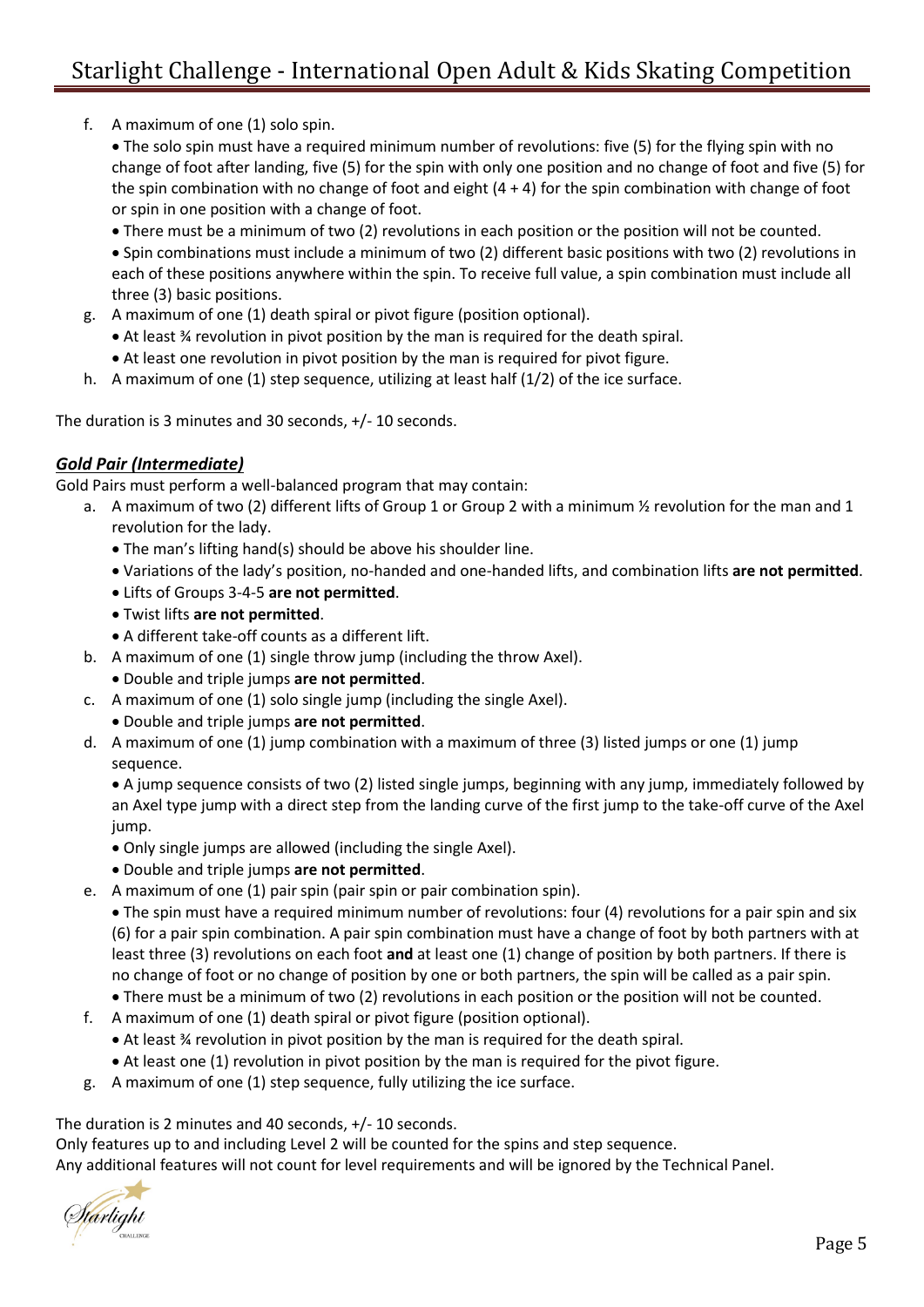f. A maximum of one (1) solo spin.

• The solo spin must have a required minimum number of revolutions: five (5) for the flying spin with no change of foot after landing, five (5) for the spin with only one position and no change of foot and five (5) for the spin combination with no change of foot and eight (4 + 4) for the spin combination with change of foot or spin in one position with a change of foot.

• There must be a minimum of two (2) revolutions in each position or the position will not be counted.

• Spin combinations must include a minimum of two (2) different basic positions with two (2) revolutions in each of these positions anywhere within the spin. To receive full value, a spin combination must include all three (3) basic positions.

- g. A maximum of one (1) death spiral or pivot figure (position optional).
	- At least ¾ revolution in pivot position by the man is required for the death spiral.
	- At least one revolution in pivot position by the man is required for pivot figure.
- h. A maximum of one (1) step sequence, utilizing at least half (1/2) of the ice surface.

The duration is 3 minutes and 30 seconds, +/- 10 seconds.

#### *Gold Pair (Intermediate)*

Gold Pairs must perform a well-balanced program that may contain:

- a. A maximum of two (2) different lifts of Group 1 or Group 2 with a minimum 1/2 revolution for the man and 1 revolution for the lady.
	- The man's lifting hand(s) should be above his shoulder line.
	- Variations of the lady's position, no-handed and one-handed lifts, and combination lifts **are not permitted**.
	- Lifts of Groups 3-4-5 **are not permitted**.
	- Twist lifts **are not permitted**.
	- A different take-off counts as a different lift.
- b. A maximum of one (1) single throw jump (including the throw Axel).
	- Double and triple jumps **are not permitted**.
- c. A maximum of one (1) solo single jump (including the single Axel).
	- Double and triple jumps **are not permitted**.
- d. A maximum of one (1) jump combination with a maximum of three (3) listed jumps or one (1) jump sequence.

• A jump sequence consists of two (2) listed single jumps, beginning with any jump, immediately followed by an Axel type jump with a direct step from the landing curve of the first jump to the take-off curve of the Axel jump.

- Only single jumps are allowed (including the single Axel).
- Double and triple jumps **are not permitted**.
- e. A maximum of one (1) pair spin (pair spin or pair combination spin).

• The spin must have a required minimum number of revolutions: four (4) revolutions for a pair spin and six (6) for a pair spin combination. A pair spin combination must have a change of foot by both partners with at least three (3) revolutions on each foot **and** at least one (1) change of position by both partners. If there is no change of foot or no change of position by one or both partners, the spin will be called as a pair spin.

• There must be a minimum of two (2) revolutions in each position or the position will not be counted.

- f. A maximum of one (1) death spiral or pivot figure (position optional).
	- At least ¾ revolution in pivot position by the man is required for the death spiral.
	- At least one (1) revolution in pivot position by the man is required for the pivot figure.
- g. A maximum of one (1) step sequence, fully utilizing the ice surface.

#### The duration is 2 minutes and 40 seconds, +/- 10 seconds.

Only features up to and including Level 2 will be counted for the spins and step sequence. Any additional features will not count for level requirements and will be ignored by the Technical Panel.

ft<mark>árlight</mark>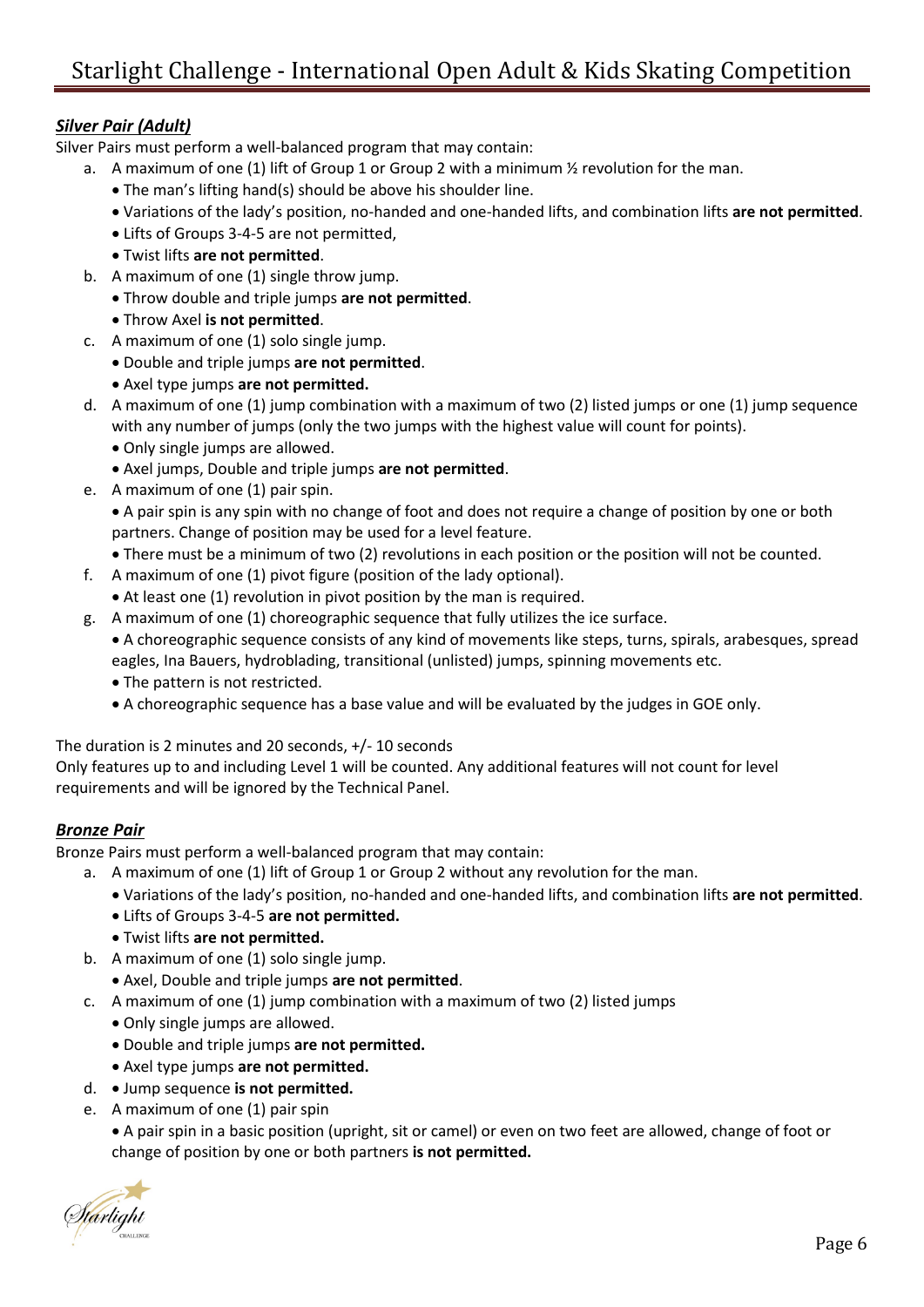### *Silver Pair (Adult)*

Silver Pairs must perform a well-balanced program that may contain:

- a. A maximum of one (1) lift of Group 1 or Group 2 with a minimum  $\frac{1}{2}$  revolution for the man.
	- The man's lifting hand(s) should be above his shoulder line.
	- Variations of the lady's position, no-handed and one-handed lifts, and combination lifts **are not permitted**.
	- Lifts of Groups 3-4-5 are not permitted,
	- Twist lifts **are not permitted**.
- b. A maximum of one (1) single throw jump.
	- Throw double and triple jumps **are not permitted**.
	- Throw Axel **is not permitted**.
- c. A maximum of one (1) solo single jump.
	- Double and triple jumps **are not permitted**.
	- Axel type jumps **are not permitted.**
- d. A maximum of one (1) jump combination with a maximum of two (2) listed jumps or one (1) jump sequence with any number of jumps (only the two jumps with the highest value will count for points).
	- Only single jumps are allowed.
	- Axel jumps, Double and triple jumps **are not permitted**.
- e. A maximum of one (1) pair spin.

• A pair spin is any spin with no change of foot and does not require a change of position by one or both partners. Change of position may be used for a level feature.

- There must be a minimum of two (2) revolutions in each position or the position will not be counted.
- f. A maximum of one (1) pivot figure (position of the lady optional).
	- At least one (1) revolution in pivot position by the man is required.
- g. A maximum of one (1) choreographic sequence that fully utilizes the ice surface.
	- A choreographic sequence consists of any kind of movements like steps, turns, spirals, arabesques, spread eagles, Ina Bauers, hydroblading, transitional (unlisted) jumps, spinning movements etc.
	- The pattern is not restricted.
	- A choreographic sequence has a base value and will be evaluated by the judges in GOE only.

The duration is 2 minutes and 20 seconds, +/- 10 seconds

Only features up to and including Level 1 will be counted. Any additional features will not count for level requirements and will be ignored by the Technical Panel.

#### *Bronze Pair*

Bronze Pairs must perform a well-balanced program that may contain:

- a. A maximum of one (1) lift of Group 1 or Group 2 without any revolution for the man.
	- Variations of the lady's position, no-handed and one-handed lifts, and combination lifts **are not permitted**.
	- Lifts of Groups 3-4-5 **are not permitted.**
	- Twist lifts **are not permitted.**
- b. A maximum of one (1) solo single jump.
	- Axel, Double and triple jumps **are not permitted**.
- c. A maximum of one (1) jump combination with a maximum of two (2) listed jumps
	- Only single jumps are allowed.
	- Double and triple jumps **are not permitted.**
	- Axel type jumps **are not permitted.**
- d. Jump sequence **is not permitted.**
- e. A maximum of one (1) pair spin

• A pair spin in a basic position (upright, sit or camel) or even on two feet are allowed, change of foot or change of position by one or both partners **is not permitted.**